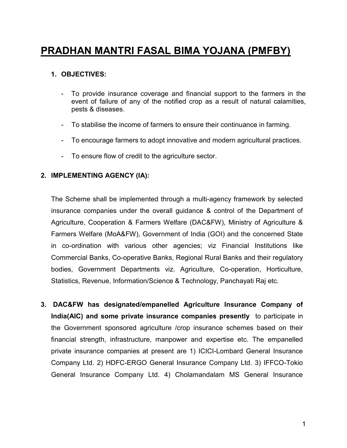# PRADHAN MANTRI FASAL BIMA YOJANA (PMFBY)

## 1. OBJECTIVES:

- To provide insurance coverage and financial support to the farmers in the event of failure of any of the notified crop as a result of natural calamities, pests & diseases.
- To stabilise the income of farmers to ensure their continuance in farming.
- To encourage farmers to adopt innovative and modern agricultural practices.
- To ensure flow of credit to the agriculture sector.

#### 2. IMPLEMENTING AGENCY (IA):

The Scheme shall be implemented through a multi-agency framework by selected insurance companies under the overall guidance & control of the Department of Agriculture, Cooperation & Farmers Welfare (DAC&FW), Ministry of Agriculture & Farmers Welfare (MoA&FW), Government of India (GOI) and the concerned State in co-ordination with various other agencies; viz Financial Institutions like Commercial Banks, Co-operative Banks, Regional Rural Banks and their regulatory bodies, Government Departments viz. Agriculture, Co-operation, Horticulture, Statistics, Revenue, Information/Science & Technology, Panchayati Raj etc.

3. DAC&FW has designated/empanelled Agriculture Insurance Company of India(AIC) and some private insurance companies presently to participate in the Government sponsored agriculture /crop insurance schemes based on their financial strength, infrastructure, manpower and expertise etc. The empanelled private insurance companies at present are 1) ICICI-Lombard General Insurance Company Ltd. 2) HDFC-ERGO General Insurance Company Ltd. 3) IFFCO-Tokio General Insurance Company Ltd. 4) Cholamandalam MS General Insurance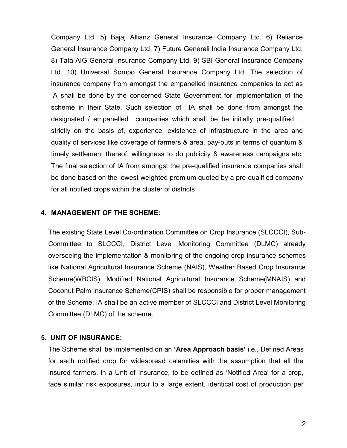Company Ltd. 5) Bajaj Allianz General Insurance Company Ltd. 6) Reliance General Insurance Company Ltd. 7) Future Generali India Insurance Company Ltd. 8) Tata-AIG General Insurance Company Ltd. 9) SBI General Insurance Company Ltd. 10) Universal Sompo General Insurance Company Ltd. The selection of insurance company from amongst the empanelled insurance companies to act as IA shall be done by the concerned State Government for implementation of the scheme in their State. Such selection of IA shall be done from amongst the designated / empanelled companies which shall be be initially pre-qualified, strictly on the basis of, experience, existence of infrastructure in the area and quality of services like coverage of farmers & area, pay-outs in terms of quantum & timely settlement thereof, willingness to do publicity & awareness campaigns etc. The final selection of IA from amongst the pre-qualified insurance companies shall be done based on the lowest weighted premium quoted by a pre-qualified company for all notified crops within the cluster of districts

#### 4. MANAGEMENT OF THE SCHEME:

The existing State Level Co-ordination Committee on Crop Insurance (SLCCCI), Sub-Committee to SLCCCI, District Level Monitoring Committee (DLMC) already overseeing the implementation & monitoring of the ongoing crop insurance schemes like National Agricultural Insurance Scheme (NAIS), Weather Based Crop Insurance Scheme(WBCIS), Modified National Agricultural Insurance Scheme(MNAIS) and Coconut Palm Insurance Scheme(CPIS) shall be responsible for proper management of the Scheme. IA shall be an active member of SLCCCI and District Level Monitoring Committee (DLMC) of the scheme.

#### 5. UNIT OF INSURANCE:

The Scheme shall be implemented on an 'Area Approach basis' i.e., Defined Areas for each notified crop for widespread calamities with the assumption that all the insured farmers, in a Unit of Insurance, to be defined as 'Notified Area' for a crop, face similar risk exposures, incur to a large extent, identical cost of production per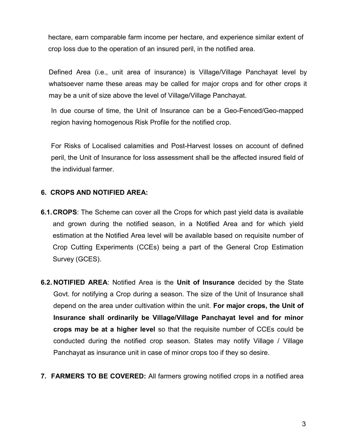hectare, earn comparable farm income per hectare, and experience similar extent of crop loss due to the operation of an insured peril, in the notified area.

Defined Area (i.e., unit area of insurance) is Village/Village Panchayat level by whatsoever name these areas may be called for major crops and for other crops it may be a unit of size above the level of Village/Village Panchayat.

In due course of time, the Unit of Insurance can be a Geo-Fenced/Geo-mapped region having homogenous Risk Profile for the notified crop.

For Risks of Localised calamities and Post-Harvest losses on account of defined peril, the Unit of Insurance for loss assessment shall be the affected insured field of the individual farmer.

## 6. CROPS AND NOTIFIED AREA:

- **6.1. CROPS:** The Scheme can cover all the Crops for which past yield data is available and grown during the notified season, in a Notified Area and for which yield estimation at the Notified Area level will be available based on requisite number of Crop Cutting Experiments (CCEs) being a part of the General Crop Estimation Survey (GCES).
- 6.2. NOTIFIED AREA: Notified Area is the Unit of Insurance decided by the State Govt. for notifying a Crop during a season. The size of the Unit of Insurance shall depend on the area under cultivation within the unit. For major crops, the Unit of Insurance shall ordinarily be Village/Village Panchayat level and for minor crops may be at a higher level so that the requisite number of CCEs could be conducted during the notified crop season. States may notify Village / Village Panchayat as insurance unit in case of minor crops too if they so desire.
- 7. FARMERS TO BE COVERED: All farmers growing notified crops in a notified area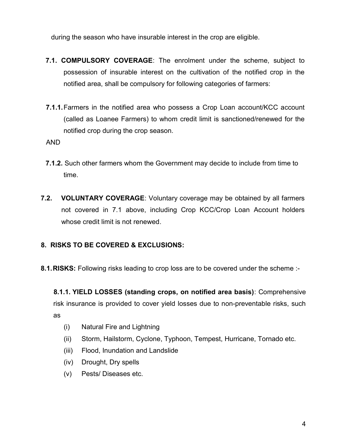during the season who have insurable interest in the crop are eligible.

- 7.1. COMPULSORY COVERAGE: The enrolment under the scheme, subject to possession of insurable interest on the cultivation of the notified crop in the notified area, shall be compulsory for following categories of farmers:
- 7.1.1. Farmers in the notified area who possess a Crop Loan account/KCC account (called as Loanee Farmers) to whom credit limit is sanctioned/renewed for the notified crop during the crop season.

AND

- 7.1.2. Such other farmers whom the Government may decide to include from time to time.
- 7.2. **VOLUNTARY COVERAGE:** Voluntary coverage may be obtained by all farmers not covered in 7.1 above, including Crop KCC/Crop Loan Account holders whose credit limit is not renewed.

# 8. RISKS TO BE COVERED & EXCLUSIONS:

8.1. RISKS: Following risks leading to crop loss are to be covered under the scheme :-

8.1.1. YIELD LOSSES (standing crops, on notified area basis): Comprehensive risk insurance is provided to cover yield losses due to non-preventable risks, such as

- (i) Natural Fire and Lightning
- (ii) Storm, Hailstorm, Cyclone, Typhoon, Tempest, Hurricane, Tornado etc.
- (iii) Flood, Inundation and Landslide
- (iv) Drought, Dry spells
- (v) Pests/ Diseases etc.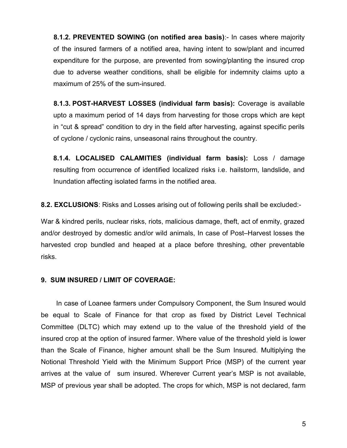8.1.2. PREVENTED SOWING (on notified area basis):- In cases where majority of the insured farmers of a notified area, having intent to sow/plant and incurred expenditure for the purpose, are prevented from sowing/planting the insured crop due to adverse weather conditions, shall be eligible for indemnity claims upto a maximum of 25% of the sum-insured.

8.1.3. POST-HARVEST LOSSES (individual farm basis): Coverage is available upto a maximum period of 14 days from harvesting for those crops which are kept in "cut & spread" condition to dry in the field after harvesting, against specific perils of cyclone / cyclonic rains, unseasonal rains throughout the country.

8.1.4. LOCALISED CALAMITIES (individual farm basis): Loss / damage resulting from occurrence of identified localized risks i.e. hailstorm, landslide, and Inundation affecting isolated farms in the notified area.

8.2. EXCLUSIONS: Risks and Losses arising out of following perils shall be excluded:-

War & kindred perils, nuclear risks, riots, malicious damage, theft, act of enmity, grazed and/or destroyed by domestic and/or wild animals, In case of Post–Harvest losses the harvested crop bundled and heaped at a place before threshing, other preventable risks.

#### 9. SUM INSURED / LIMIT OF COVERAGE:

In case of Loanee farmers under Compulsory Component, the Sum Insured would be equal to Scale of Finance for that crop as fixed by District Level Technical Committee (DLTC) which may extend up to the value of the threshold yield of the insured crop at the option of insured farmer. Where value of the threshold yield is lower than the Scale of Finance, higher amount shall be the Sum Insured. Multiplying the Notional Threshold Yield with the Minimum Support Price (MSP) of the current year arrives at the value of sum insured. Wherever Current year's MSP is not available, MSP of previous year shall be adopted. The crops for which, MSP is not declared, farm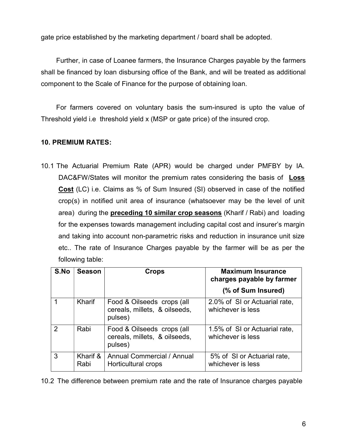gate price established by the marketing department / board shall be adopted.

Further, in case of Loanee farmers, the Insurance Charges payable by the farmers shall be financed by loan disbursing office of the Bank, and will be treated as additional component to the Scale of Finance for the purpose of obtaining loan.

For farmers covered on voluntary basis the sum-insured is upto the value of Threshold yield i.e threshold yield x (MSP or gate price) of the insured crop.

# 10. PREMIUM RATES:

10.1 The Actuarial Premium Rate (APR) would be charged under PMFBY by IA. DAC&FW/States will monitor the premium rates considering the basis of Loss Cost (LC) i.e. Claims as % of Sum Insured (SI) observed in case of the notified crop(s) in notified unit area of insurance (whatsoever may be the level of unit area) during the preceding 10 similar crop seasons (Kharif / Rabi) and loading for the expenses towards management including capital cost and insurer's margin and taking into account non-parametric risks and reduction in insurance unit size etc.. The rate of Insurance Charges payable by the farmer will be as per the following table:

| S.No          | <b>Season</b>    | <b>Crops</b>                                                           | <b>Maximum Insurance</b><br>charges payable by farmer |
|---------------|------------------|------------------------------------------------------------------------|-------------------------------------------------------|
|               |                  |                                                                        | (% of Sum Insured)                                    |
|               | Kharif           | Food & Oilseeds crops (all<br>cereals, millets, & oilseeds,<br>pulses) | 2.0% of SI or Actuarial rate,<br>whichever is less    |
| $\mathcal{P}$ | Rabi             | Food & Oilseeds crops (all<br>cereals, millets, & oilseeds,<br>pulses) | 1.5% of SI or Actuarial rate,<br>whichever is less    |
| 3             | Kharif &<br>Rabi | <b>Annual Commercial / Annual</b><br>Horticultural crops               | 5% of SI or Actuarial rate,<br>whichever is less      |

10.2 The difference between premium rate and the rate of Insurance charges payable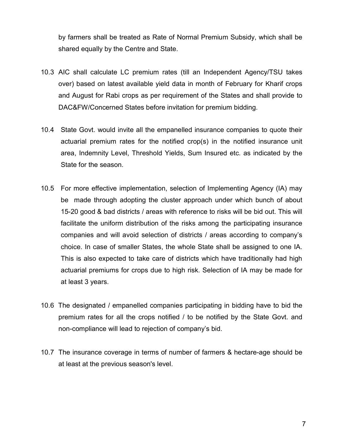by farmers shall be treated as Rate of Normal Premium Subsidy, which shall be shared equally by the Centre and State.

- 10.3 AIC shall calculate LC premium rates (till an Independent Agency/TSU takes over) based on latest available yield data in month of February for Kharif crops and August for Rabi crops as per requirement of the States and shall provide to DAC&FW/Concerned States before invitation for premium bidding.
- 10.4 State Govt. would invite all the empanelled insurance companies to quote their actuarial premium rates for the notified crop(s) in the notified insurance unit area, Indemnity Level, Threshold Yields, Sum Insured etc. as indicated by the State for the season.
- 10.5 For more effective implementation, selection of Implementing Agency (IA) may be made through adopting the cluster approach under which bunch of about 15-20 good & bad districts / areas with reference to risks will be bid out. This will facilitate the uniform distribution of the risks among the participating insurance companies and will avoid selection of districts / areas according to company's choice. In case of smaller States, the whole State shall be assigned to one IA. This is also expected to take care of districts which have traditionally had high actuarial premiums for crops due to high risk. Selection of IA may be made for at least 3 years.
- 10.6 The designated / empanelled companies participating in bidding have to bid the premium rates for all the crops notified / to be notified by the State Govt. and non-compliance will lead to rejection of company's bid.
- 10.7 The insurance coverage in terms of number of farmers & hectare-age should be at least at the previous season's level.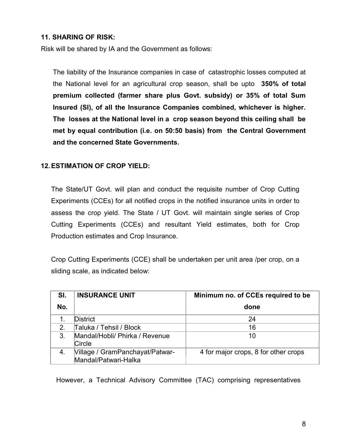## 11. SHARING OF RISK:

Risk will be shared by IA and the Government as follows:

The liability of the Insurance companies in case of catastrophic losses computed at the National level for an agricultural crop season, shall be upto 350% of total premium collected (farmer share plus Govt. subsidy) or 35% of total Sum Insured (SI), of all the Insurance Companies combined, whichever is higher. The losses at the National level in a crop season beyond this ceiling shall be met by equal contribution (i.e. on 50:50 basis) from the Central Government and the concerned State Governments.

## 12. ESTIMATION OF CROP YIELD:

The State/UT Govt. will plan and conduct the requisite number of Crop Cutting Experiments (CCEs) for all notified crops in the notified insurance units in order to assess the crop yield. The State / UT Govt. will maintain single series of Crop Cutting Experiments (CCEs) and resultant Yield estimates, both for Crop Production estimates and Crop Insurance.

Crop Cutting Experiments (CCE) shall be undertaken per unit area /per crop, on a sliding scale, as indicated below:

| SI.          | <b>INSURANCE UNIT</b>                                   | Minimum no. of CCEs required to be   |
|--------------|---------------------------------------------------------|--------------------------------------|
| No.          |                                                         | done                                 |
|              | <b>District</b>                                         | 24                                   |
| $\mathbf{2}$ | Taluka / Tehsil / Block                                 | 16                                   |
| 3.           | Mandal/Hobli/ Phirka / Revenue<br>Circle                | 10                                   |
| 4.           | Village / GramPanchayat/Patwar-<br>Mandal/Patwari-Halka | 4 for major crops, 8 for other crops |

However, a Technical Advisory Committee (TAC) comprising representatives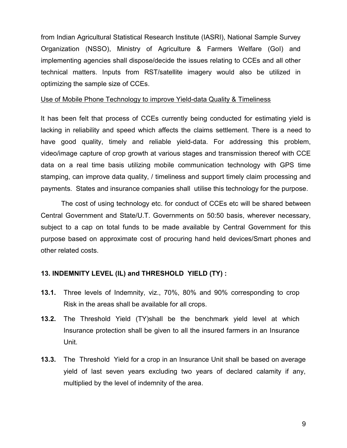from Indian Agricultural Statistical Research Institute (IASRI), National Sample Survey Organization (NSSO), Ministry of Agriculture & Farmers Welfare (GoI) and implementing agencies shall dispose/decide the issues relating to CCEs and all other technical matters. Inputs from RST/satellite imagery would also be utilized in optimizing the sample size of CCEs.

#### Use of Mobile Phone Technology to improve Yield-data Quality & Timeliness

It has been felt that process of CCEs currently being conducted for estimating yield is lacking in reliability and speed which affects the claims settlement. There is a need to have good quality, timely and reliable yield-data. For addressing this problem, video/image capture of crop growth at various stages and transmission thereof with CCE data on a real time basis utilizing mobile communication technology with GPS time stamping, can improve data quality, / timeliness and support timely claim processing and payments. States and insurance companies shall utilise this technology for the purpose.

 The cost of using technology etc. for conduct of CCEs etc will be shared between Central Government and State/U.T. Governments on 50:50 basis, wherever necessary, subject to a cap on total funds to be made available by Central Government for this purpose based on approximate cost of procuring hand held devices/Smart phones and other related costs.

#### 13. INDEMNITY LEVEL (IL) and THRESHOLD YIELD (TY) :

- 13.1. Three levels of Indemnity, viz., 70%, 80% and 90% corresponding to crop Risk in the areas shall be available for all crops.
- 13.2. The Threshold Yield (TY)shall be the benchmark yield level at which Insurance protection shall be given to all the insured farmers in an Insurance Unit.
- 13.3. The Threshold Yield for a crop in an Insurance Unit shall be based on average yield of last seven years excluding two years of declared calamity if any, multiplied by the level of indemnity of the area.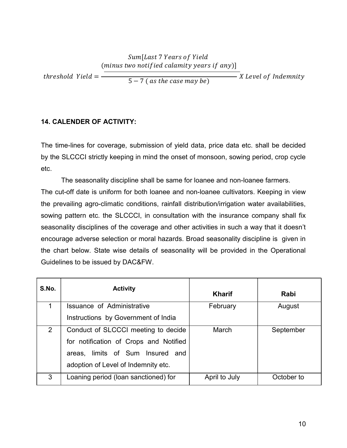#### $threshold$  Yield  $=$  -Sum[Last 7 Years of Yield (minus two notified calamity years if any)]  $(5 - 7)$  (as the case may be) X Level of Indemnity

## 14. CALENDER OF ACTIVITY:

The time-lines for coverage, submission of yield data, price data etc. shall be decided by the SLCCCI strictly keeping in mind the onset of monsoon, sowing period, crop cycle etc.

The seasonality discipline shall be same for loanee and non-loanee farmers. The cut-off date is uniform for both loanee and non-loanee cultivators. Keeping in view the prevailing agro-climatic conditions, rainfall distribution/irrigation water availabilities, sowing pattern etc. the SLCCCI, in consultation with the insurance company shall fix seasonality disciplines of the coverage and other activities in such a way that it doesn't encourage adverse selection or moral hazards. Broad seasonality discipline is given in the chart below. State wise details of seasonality will be provided in the Operational Guidelines to be issued by DAC&FW.

| S.No.          | <b>Activity</b>                        | <b>Kharif</b> | Rabi       |
|----------------|----------------------------------------|---------------|------------|
|                | <b>Issuance of Administrative</b>      | February      | August     |
|                | Instructions by Government of India    |               |            |
| $\overline{2}$ | Conduct of SLCCCI meeting to decide    | March         | September  |
|                | for notification of Crops and Notified |               |            |
|                | areas, limits of Sum Insured and       |               |            |
|                | adoption of Level of Indemnity etc.    |               |            |
| 3              | Loaning period (loan sanctioned) for   | April to July | October to |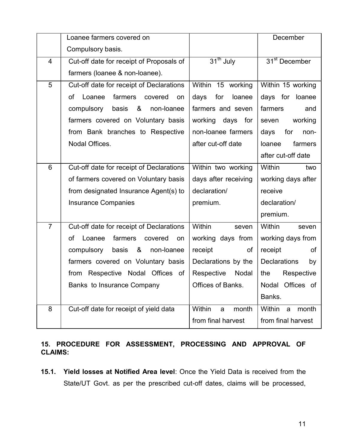|                | Loanee farmers covered on                |                        | December                  |  |  |
|----------------|------------------------------------------|------------------------|---------------------------|--|--|
|                | Compulsory basis.                        |                        |                           |  |  |
| 4              | Cut-off date for receipt of Proposals of | 31 <sup>th</sup> July  | 31 <sup>st</sup> December |  |  |
|                | farmers (loanee & non-loanee).           |                        |                           |  |  |
| 5              | Cut-off date for receipt of Declarations | Within 15 working      | Within 15 working         |  |  |
|                | farmers<br>of<br>Loanee<br>covered<br>on | days<br>for<br>loanee  | days for<br>loanee        |  |  |
|                | &<br>compulsory<br>basis<br>non-loanee   | farmers and seven      | farmers<br>and            |  |  |
|                | farmers covered on Voluntary basis       | working<br>days<br>for | working<br>seven          |  |  |
|                | from Bank branches to Respective         | non-loanee farmers     | for<br>days<br>non-       |  |  |
|                | Nodal Offices.                           | after cut-off date     | farmers<br>loanee         |  |  |
|                |                                          |                        | after cut-off date        |  |  |
| $6\phantom{1}$ | Cut-off date for receipt of Declarations | Within two working     | <b>Within</b><br>two      |  |  |
|                | of farmers covered on Voluntary basis    | days after receiving   | working days after        |  |  |
|                | from designated Insurance Agent(s) to    | declaration/           | receive                   |  |  |
|                | <b>Insurance Companies</b>               | premium.               | declaration/              |  |  |
|                |                                          |                        | premium.                  |  |  |
| $\overline{7}$ | Cut-off date for receipt of Declarations | Within<br>seven        | Within<br>seven           |  |  |
|                | farmers<br>of<br>Loanee<br>covered<br>on | working days from      | working days from         |  |  |
|                | &<br>compulsory<br>basis<br>non-loanee   | receipt<br>оf          | receipt<br>οf             |  |  |
|                | farmers covered on Voluntary basis       | Declarations by the    | <b>Declarations</b><br>by |  |  |
|                | from Respective Nodal Offices of         | Respective<br>Nodal    | Respective<br>the         |  |  |
|                | Banks to Insurance Company               | Offices of Banks.      | Nodal Offices of          |  |  |
|                |                                          |                        | Banks.                    |  |  |
| 8              | Cut-off date for receipt of yield data   | Within<br>month<br>a   | Within<br>month<br>a      |  |  |
|                |                                          | from final harvest     | from final harvest        |  |  |

## 15. PROCEDURE FOR ASSESSMENT, PROCESSING AND APPROVAL OF CLAIMS:

15.1. Yield losses at Notified Area level: Once the Yield Data is received from the State/UT Govt. as per the prescribed cut-off dates, claims will be processed,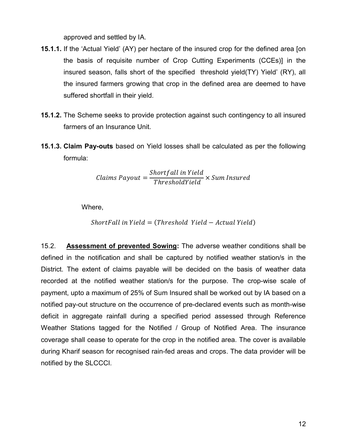approved and settled by IA.

- 15.1.1. If the 'Actual Yield' (AY) per hectare of the insured crop for the defined area [on the basis of requisite number of Crop Cutting Experiments (CCEs)] in the insured season, falls short of the specified threshold yield(TY) Yield' (RY), all the insured farmers growing that crop in the defined area are deemed to have suffered shortfall in their yield.
- 15.1.2. The Scheme seeks to provide protection against such contingency to all insured farmers of an Insurance Unit.
- 15.1.3. Claim Pay-outs based on Yield losses shall be calculated as per the following formula:

$$
Clains \, Payout = \frac{Shortfall \, in \, Yield}{ThresholdYield} \times Sum \, Insured
$$

Where,

(ܻ݈݅݁݀ ݈ܽݑݐܿܣ − ܻ݈݅݁݀ ݈݀ℎݏ݁ݎℎܶ = (ܻ݈݅݁݀ ݅݊ ݈݈ܽܨݐݎℎܵ

15.2. Assessment of prevented Sowing: The adverse weather conditions shall be defined in the notification and shall be captured by notified weather station/s in the District. The extent of claims payable will be decided on the basis of weather data recorded at the notified weather station/s for the purpose. The crop-wise scale of payment, upto a maximum of 25% of Sum Insured shall be worked out by IA based on a notified pay-out structure on the occurrence of pre-declared events such as month-wise deficit in aggregate rainfall during a specified period assessed through Reference Weather Stations tagged for the Notified / Group of Notified Area. The insurance coverage shall cease to operate for the crop in the notified area. The cover is available during Kharif season for recognised rain-fed areas and crops. The data provider will be notified by the SLCCCI.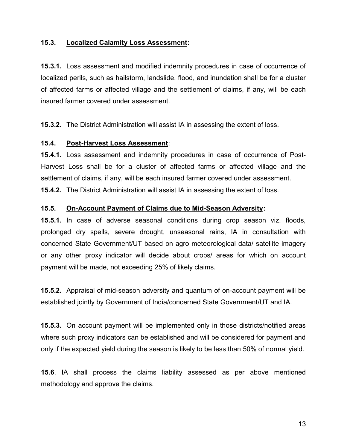#### 15.3. Localized Calamity Loss Assessment:

15.3.1. Loss assessment and modified indemnity procedures in case of occurrence of localized perils, such as hailstorm, landslide, flood, and inundation shall be for a cluster of affected farms or affected village and the settlement of claims, if any, will be each insured farmer covered under assessment.

15.3.2. The District Administration will assist IA in assessing the extent of loss.

#### 15.4. Post-Harvest Loss Assessment:

15.4.1. Loss assessment and indemnity procedures in case of occurrence of Post-Harvest Loss shall be for a cluster of affected farms or affected village and the settlement of claims, if any, will be each insured farmer covered under assessment. 15.4.2. The District Administration will assist IA in assessing the extent of loss.

#### 15.5. On-Account Payment of Claims due to Mid-Season Adversity:

15.5.1. In case of adverse seasonal conditions during crop season viz. floods, prolonged dry spells, severe drought, unseasonal rains, IA in consultation with concerned State Government/UT based on agro meteorological data/ satellite imagery or any other proxy indicator will decide about crops/ areas for which on account payment will be made, not exceeding 25% of likely claims.

15.5.2. Appraisal of mid-season adversity and quantum of on-account payment will be established jointly by Government of India/concerned State Government/UT and IA.

15.5.3. On account payment will be implemented only in those districts/notified areas where such proxy indicators can be established and will be considered for payment and only if the expected yield during the season is likely to be less than 50% of normal yield.

15.6. IA shall process the claims liability assessed as per above mentioned methodology and approve the claims.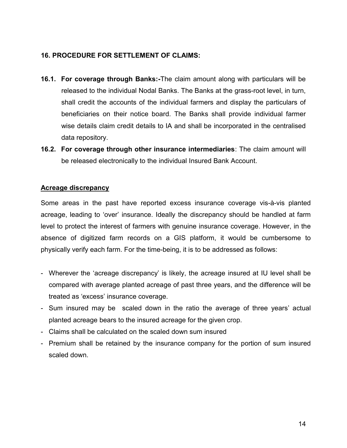# 16. PROCEDURE FOR SETTLEMENT OF CLAIMS:

- 16.1. For coverage through Banks:-The claim amount along with particulars will be released to the individual Nodal Banks. The Banks at the grass-root level, in turn, shall credit the accounts of the individual farmers and display the particulars of beneficiaries on their notice board. The Banks shall provide individual farmer wise details claim credit details to IA and shall be incorporated in the centralised data repository.
- 16.2. For coverage through other insurance intermediaries: The claim amount will be released electronically to the individual Insured Bank Account.

# Acreage discrepancy

Some areas in the past have reported excess insurance coverage vis-à-vis planted acreage, leading to 'over' insurance. Ideally the discrepancy should be handled at farm level to protect the interest of farmers with genuine insurance coverage. However, in the absence of digitized farm records on a GIS platform, it would be cumbersome to physically verify each farm. For the time-being, it is to be addressed as follows:

- Wherever the 'acreage discrepancy' is likely, the acreage insured at IU level shall be compared with average planted acreage of past three years, and the difference will be treated as 'excess' insurance coverage.
- Sum insured may be scaled down in the ratio the average of three years' actual planted acreage bears to the insured acreage for the given crop.
- Claims shall be calculated on the scaled down sum insured
- Premium shall be retained by the insurance company for the portion of sum insured scaled down.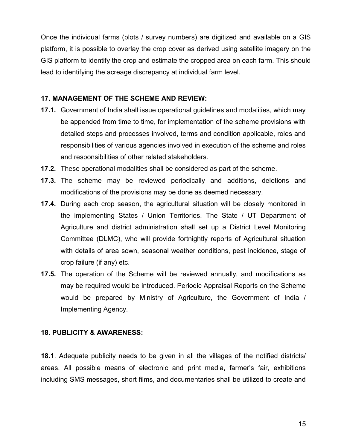Once the individual farms (plots / survey numbers) are digitized and available on a GIS platform, it is possible to overlay the crop cover as derived using satellite imagery on the GIS platform to identify the crop and estimate the cropped area on each farm. This should lead to identifying the acreage discrepancy at individual farm level.

#### 17. MANAGEMENT OF THE SCHEME AND REVIEW:

- 17.1. Government of India shall issue operational guidelines and modalities, which may be appended from time to time, for implementation of the scheme provisions with detailed steps and processes involved, terms and condition applicable, roles and responsibilities of various agencies involved in execution of the scheme and roles and responsibilities of other related stakeholders.
- 17.2. These operational modalities shall be considered as part of the scheme.
- 17.3. The scheme may be reviewed periodically and additions, deletions and modifications of the provisions may be done as deemed necessary.
- **17.4.** During each crop season, the agricultural situation will be closely monitored in the implementing States / Union Territories. The State / UT Department of Agriculture and district administration shall set up a District Level Monitoring Committee (DLMC), who will provide fortnightly reports of Agricultural situation with details of area sown, seasonal weather conditions, pest incidence, stage of crop failure (if any) etc.
- **17.5.** The operation of the Scheme will be reviewed annually, and modifications as may be required would be introduced. Periodic Appraisal Reports on the Scheme would be prepared by Ministry of Agriculture, the Government of India / Implementing Agency.

#### 18. PUBLICITY & AWARENESS:

18.1. Adequate publicity needs to be given in all the villages of the notified districts/ areas. All possible means of electronic and print media, farmer's fair, exhibitions including SMS messages, short films, and documentaries shall be utilized to create and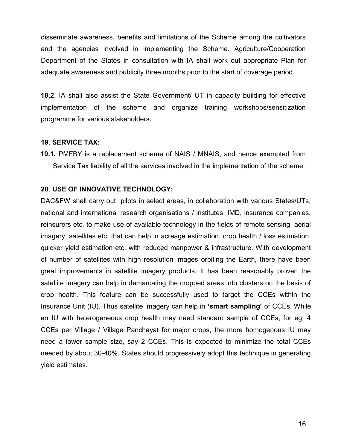disseminate awareness, benefits and limitations of the Scheme among the cultivators and the agencies involved in implementing the Scheme. Agriculture/Cooperation Department of the States in consultation with IA shall work out appropriate Plan for adequate awareness and publicity three months prior to the start of coverage period.

18.2. IA shall also assist the State Government/ UT in capacity building for effective implementation of the scheme and organize training workshops/sensitization programme for various stakeholders.

#### 19. SERVICE TAX:

19.1. PMFBY is a replacement scheme of NAIS / MNAIS, and hence exempted from Service Tax liability of all the services involved in the implementation of the scheme.

#### 20. USE OF INNOVATIVE TECHNOLOGY:

DAC&FW shall carry out pilots in select areas, in collaboration with various States/UTs, national and international research organisations / institutes, IMD, insurance companies, reinsurers etc. to make use of available technology in the fields of remote sensing, aerial imagery, satellites etc. that can help in acreage estimation, crop health / loss estimation, quicker yield estimation etc. with reduced manpower & infrastructure. With development of number of satellites with high resolution images orbiting the Earth, there have been great improvements in satellite imagery products. It has been reasonably proven the satellite imagery can help in demarcating the cropped areas into clusters on the basis of crop health. This feature can be successfully used to target the CCEs within the Insurance Unit (IU). Thus satellite imagery can help in 'smart sampling' of CCEs. While an IU with heterogeneous crop health may need standard sample of CCEs, for eg. 4 CCEs per Village / Village Panchayat for major crops, the more homogenous IU may need a lower sample size, say 2 CCEs. This is expected to minimize the total CCEs needed by about 30-40%. States should progressively adopt this technique in generating yield estimates.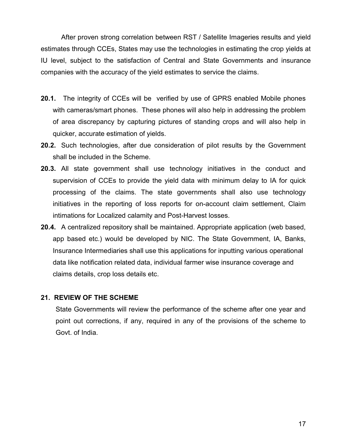After proven strong correlation between RST / Satellite Imageries results and yield estimates through CCEs, States may use the technologies in estimating the crop yields at IU level, subject to the satisfaction of Central and State Governments and insurance companies with the accuracy of the yield estimates to service the claims.

- 20.1. The integrity of CCEs will be verified by use of GPRS enabled Mobile phones with cameras/smart phones. These phones will also help in addressing the problem of area discrepancy by capturing pictures of standing crops and will also help in quicker, accurate estimation of yields.
- 20.2. Such technologies, after due consideration of pilot results by the Government shall be included in the Scheme.
- 20.3. All state government shall use technology initiatives in the conduct and supervision of CCEs to provide the yield data with minimum delay to IA for quick processing of the claims. The state governments shall also use technology initiatives in the reporting of loss reports for on-account claim settlement, Claim intimations for Localized calamity and Post-Harvest losses.
- 20.4. A centralized repository shall be maintained. Appropriate application (web based, app based etc.) would be developed by NIC. The State Government, IA, Banks, Insurance Intermediaries shall use this applications for inputting various operational data like notification related data, individual farmer wise insurance coverage and claims details, crop loss details etc.

#### 21. REVIEW OF THE SCHEME

State Governments will review the performance of the scheme after one year and point out corrections, if any, required in any of the provisions of the scheme to Govt. of India.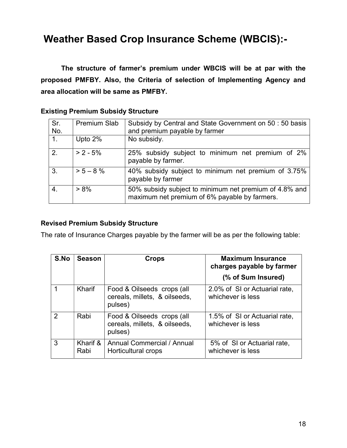# Weather Based Crop Insurance Scheme (WBCIS):-

 The structure of farmer's premium under WBCIS will be at par with the proposed PMFBY. Also, the Criteria of selection of Implementing Agency and area allocation will be same as PMFBY.

| Sr.<br>No. | <b>Premium Slab</b> | Subsidy by Central and State Government on 50 : 50 basis<br>and premium payable by farmer               |
|------------|---------------------|---------------------------------------------------------------------------------------------------------|
| $1_{-}$    | Upto 2%             | No subsidy.                                                                                             |
| 2.         | $> 2 - 5%$          | 25% subsidy subject to minimum net premium of 2%<br>payable by farmer.                                  |
| 3.         | $> 5 - 8 \%$        | 40% subsidy subject to minimum net premium of 3.75%<br>payable by farmer                                |
| 4.         | $> 8\%$             | 50% subsidy subject to minimum net premium of 4.8% and<br>maximum net premium of 6% payable by farmers. |

# Revised Premium Subsidy Structure

The rate of Insurance Charges payable by the farmer will be as per the following table:

| S.No          | <b>Season</b>    | <b>Crops</b>                                                           | <b>Maximum Insurance</b><br>charges payable by farmer |
|---------------|------------------|------------------------------------------------------------------------|-------------------------------------------------------|
|               |                  |                                                                        | (% of Sum Insured)                                    |
|               | Kharif           | Food & Oilseeds crops (all<br>cereals, millets, & oilseeds,<br>pulses) | 2.0% of SI or Actuarial rate,<br>whichever is less    |
| $\mathcal{P}$ | Rabi             | Food & Oilseeds crops (all<br>cereals, millets, & oilseeds,<br>pulses) | 1.5% of SI or Actuarial rate,<br>whichever is less    |
| 3             | Kharif &<br>Rabi | Annual Commercial / Annual<br>Horticultural crops                      | 5% of SI or Actuarial rate,<br>whichever is less      |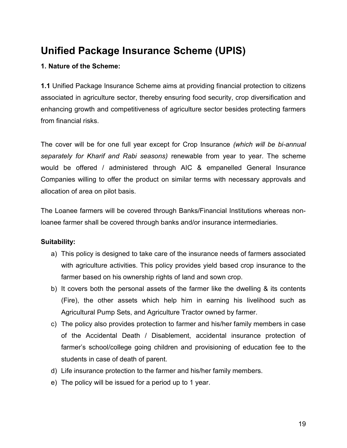# Unified Package Insurance Scheme (UPIS)

# 1. Nature of the Scheme:

1.1 Unified Package Insurance Scheme aims at providing financial protection to citizens associated in agriculture sector, thereby ensuring food security, crop diversification and enhancing growth and competitiveness of agriculture sector besides protecting farmers from financial risks.

The cover will be for one full year except for Crop Insurance (which will be bi-annual separately for Kharif and Rabi seasons) renewable from year to year. The scheme would be offered / administered through AIC & empanelled General Insurance Companies willing to offer the product on similar terms with necessary approvals and allocation of area on pilot basis.

The Loanee farmers will be covered through Banks/Financial Institutions whereas nonloanee farmer shall be covered through banks and/or insurance intermediaries.

# Suitability:

- a) This policy is designed to take care of the insurance needs of farmers associated with agriculture activities. This policy provides yield based crop insurance to the farmer based on his ownership rights of land and sown crop.
- b) It covers both the personal assets of the farmer like the dwelling & its contents (Fire), the other assets which help him in earning his livelihood such as Agricultural Pump Sets, and Agriculture Tractor owned by farmer.
- c) The policy also provides protection to farmer and his/her family members in case of the Accidental Death / Disablement, accidental insurance protection of farmer's school/college going children and provisioning of education fee to the students in case of death of parent.
- d) Life insurance protection to the farmer and his/her family members.
- e) The policy will be issued for a period up to 1 year.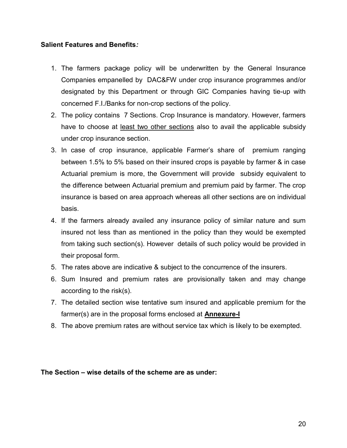#### Salient Features and Benefits:

- 1. The farmers package policy will be underwritten by the General Insurance Companies empanelled by DAC&FW under crop insurance programmes and/or designated by this Department or through GIC Companies having tie-up with concerned F.I./Banks for non-crop sections of the policy.
- 2. The policy contains 7 Sections. Crop Insurance is mandatory. However, farmers have to choose at least two other sections also to avail the applicable subsidy under crop insurance section.
- 3. In case of crop insurance, applicable Farmer's share of premium ranging between 1.5% to 5% based on their insured crops is payable by farmer & in case Actuarial premium is more, the Government will provide subsidy equivalent to the difference between Actuarial premium and premium paid by farmer. The crop insurance is based on area approach whereas all other sections are on individual basis.
- 4. If the farmers already availed any insurance policy of similar nature and sum insured not less than as mentioned in the policy than they would be exempted from taking such section(s). However details of such policy would be provided in their proposal form.
- 5. The rates above are indicative & subject to the concurrence of the insurers.
- 6. Sum Insured and premium rates are provisionally taken and may change according to the risk(s).
- 7. The detailed section wise tentative sum insured and applicable premium for the farmer(s) are in the proposal forms enclosed at **Annexure-I**
- 8. The above premium rates are without service tax which is likely to be exempted.

The Section – wise details of the scheme are as under: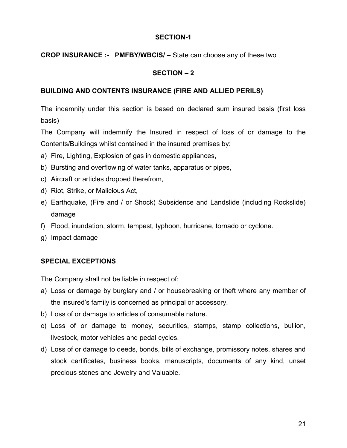#### SECTION-1

## CROP INSURANCE :- PMFBY/WBCIS/ – State can choose any of these two

## SECTION – 2

#### BUILDING AND CONTENTS INSURANCE (FIRE AND ALLIED PERILS)

The indemnity under this section is based on declared sum insured basis (first loss basis)

The Company will indemnify the Insured in respect of loss of or damage to the Contents/Buildings whilst contained in the insured premises by:

- a) Fire, Lighting, Explosion of gas in domestic appliances,
- b) Bursting and overflowing of water tanks, apparatus or pipes,
- c) Aircraft or articles dropped therefrom,
- d) Riot, Strike, or Malicious Act,
- e) Earthquake, (Fire and / or Shock) Subsidence and Landslide (including Rockslide) damage
- f) Flood, inundation, storm, tempest, typhoon, hurricane, tornado or cyclone.
- g) Impact damage

#### SPECIAL EXCEPTIONS

The Company shall not be liable in respect of:

- a) Loss or damage by burglary and / or housebreaking or theft where any member of the insured's family is concerned as principal or accessory.
- b) Loss of or damage to articles of consumable nature.
- c) Loss of or damage to money, securities, stamps, stamp collections, bullion, livestock, motor vehicles and pedal cycles.
- d) Loss of or damage to deeds, bonds, bills of exchange, promissory notes, shares and stock certificates, business books, manuscripts, documents of any kind, unset precious stones and Jewelry and Valuable.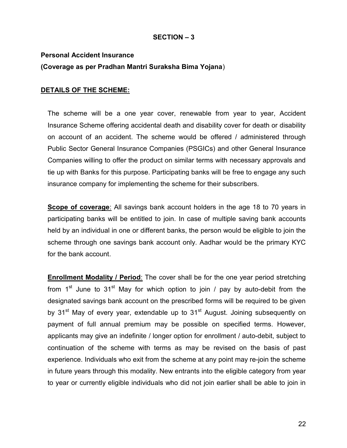## SECTION – 3

# Personal Accident Insurance (Coverage as per Pradhan Mantri Suraksha Bima Yojana)

## DETAILS OF THE SCHEME:

The scheme will be a one year cover, renewable from year to year, Accident Insurance Scheme offering accidental death and disability cover for death or disability on account of an accident. The scheme would be offered / administered through Public Sector General Insurance Companies (PSGICs) and other General Insurance Companies willing to offer the product on similar terms with necessary approvals and tie up with Banks for this purpose. Participating banks will be free to engage any such insurance company for implementing the scheme for their subscribers.

Scope of coverage: All savings bank account holders in the age 18 to 70 years in participating banks will be entitled to join. In case of multiple saving bank accounts held by an individual in one or different banks, the person would be eligible to join the scheme through one savings bank account only. Aadhar would be the primary KYC for the bank account.

Enrollment Modality / Period: The cover shall be for the one year period stretching from 1 $^{\rm st}$  June to 31 $^{\rm st}$  May for which option to join / pay by auto-debit from the designated savings bank account on the prescribed forms will be required to be given by 31<sup>st</sup> May of every year, extendable up to 31<sup>st</sup> August. Joining subsequently on payment of full annual premium may be possible on specified terms. However, applicants may give an indefinite / longer option for enrollment / auto-debit, subject to continuation of the scheme with terms as may be revised on the basis of past experience. Individuals who exit from the scheme at any point may re-join the scheme in future years through this modality. New entrants into the eligible category from year to year or currently eligible individuals who did not join earlier shall be able to join in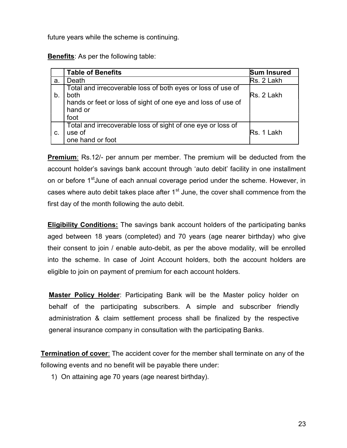future years while the scheme is continuing.

Benefits: As per the following table:

|    | <b>Table of Benefits</b>                                                                                                                                      | <b>Sum Insured</b> |
|----|---------------------------------------------------------------------------------------------------------------------------------------------------------------|--------------------|
| a. | Death                                                                                                                                                         | Rs. 2 Lakh         |
| b  | Total and irrecoverable loss of both eyes or loss of use of<br><b>both</b><br>hands or feet or loss of sight of one eye and loss of use of<br>hand or<br>foot | Rs. 2 Lakh         |
| C. | Total and irrecoverable loss of sight of one eye or loss of<br>use of<br>one hand or foot                                                                     | Rs. 1 Lakh         |

**Premium:** Rs.12/- per annum per member. The premium will be deducted from the account holder's savings bank account through 'auto debit' facility in one installment on or before 1<sup>st</sup>June of each annual coverage period under the scheme. However, in cases where auto debit takes place after  $1<sup>st</sup>$  June, the cover shall commence from the first day of the month following the auto debit.

Eligibility Conditions: The savings bank account holders of the participating banks aged between 18 years (completed) and 70 years (age nearer birthday) who give their consent to join / enable auto-debit, as per the above modality, will be enrolled into the scheme. In case of Joint Account holders, both the account holders are eligible to join on payment of premium for each account holders.

Master Policy Holder: Participating Bank will be the Master policy holder on behalf of the participating subscribers. A simple and subscriber friendly administration & claim settlement process shall be finalized by the respective general insurance company in consultation with the participating Banks.

Termination of cover: The accident cover for the member shall terminate on any of the following events and no benefit will be payable there under:

1) On attaining age 70 years (age nearest birthday).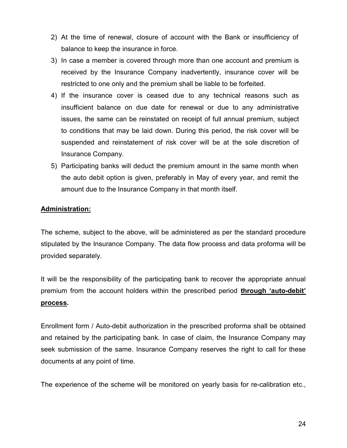- 2) At the time of renewal, closure of account with the Bank or insufficiency of balance to keep the insurance in force.
- 3) In case a member is covered through more than one account and premium is received by the Insurance Company inadvertently, insurance cover will be restricted to one only and the premium shall be liable to be forfeited.
- 4) If the insurance cover is ceased due to any technical reasons such as insufficient balance on due date for renewal or due to any administrative issues, the same can be reinstated on receipt of full annual premium, subject to conditions that may be laid down. During this period, the risk cover will be suspended and reinstatement of risk cover will be at the sole discretion of Insurance Company.
- 5) Participating banks will deduct the premium amount in the same month when the auto debit option is given, preferably in May of every year, and remit the amount due to the Insurance Company in that month itself.

## Administration:

The scheme, subject to the above, will be administered as per the standard procedure stipulated by the Insurance Company. The data flow process and data proforma will be provided separately.

It will be the responsibility of the participating bank to recover the appropriate annual premium from the account holders within the prescribed period through 'auto-debit' process.

Enrollment form / Auto-debit authorization in the prescribed proforma shall be obtained and retained by the participating bank. In case of claim, the Insurance Company may seek submission of the same. Insurance Company reserves the right to call for these documents at any point of time.

The experience of the scheme will be monitored on yearly basis for re-calibration etc.,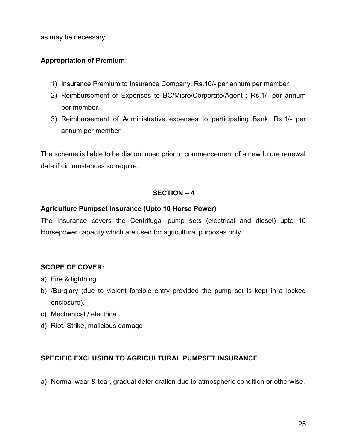as may be necessary.

## Appropriation of Premium:

- 1) Insurance Premium to Insurance Company: Rs.10/- per annum per member
- 2) Reimbursement of Expenses to BC/Micro/Corporate/Agent : Rs.1/- per annum per member
- 3) Reimbursement of Administrative expenses to participating Bank: Rs.1/- per annum per member

The scheme is liable to be discontinued prior to commencement of a new future renewal date if circumstances so require.

#### SECTION – 4

#### Agriculture Pumpset Insurance (Upto 10 Horse Power)

The Insurance covers the Centrifugal pump sets (electrical and diesel) upto 10 Horsepower capacity which are used for agricultural purposes only.

# SCOPE OF COVER:

- a) Fire & lightning
- b) /Burglary (due to violent forcible entry provided the pump set is kept in a locked enclosure).
- c) Mechanical / electrical
- d) Riot, Strike, malicious damage

#### SPECIFIC EXCLUSION TO AGRICULTURAL PUMPSET INSURANCE

a) Normal wear & tear, gradual deterioration due to atmospheric condition or otherwise.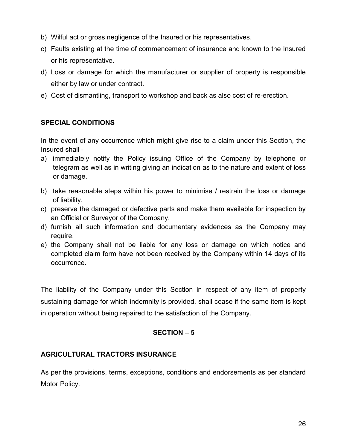- b) Wilful act or gross negligence of the Insured or his representatives.
- c) Faults existing at the time of commencement of insurance and known to the Insured or his representative.
- d) Loss or damage for which the manufacturer or supplier of property is responsible either by law or under contract.
- e) Cost of dismantling, transport to workshop and back as also cost of re-erection.

# SPECIAL CONDITIONS

In the event of any occurrence which might give rise to a claim under this Section, the Insured shall -

- a) immediately notify the Policy issuing Office of the Company by telephone or telegram as well as in writing giving an indication as to the nature and extent of loss or damage.
- b) take reasonable steps within his power to minimise / restrain the loss or damage of liability.
- c) preserve the damaged or defective parts and make them available for inspection by an Official or Surveyor of the Company.
- d) furnish all such information and documentary evidences as the Company may require.
- e) the Company shall not be liable for any loss or damage on which notice and completed claim form have not been received by the Company within 14 days of its occurrence.

The liability of the Company under this Section in respect of any item of property sustaining damage for which indemnity is provided, shall cease if the same item is kept in operation without being repaired to the satisfaction of the Company.

# SECTION – 5

# AGRICULTURAL TRACTORS INSURANCE

As per the provisions, terms, exceptions, conditions and endorsements as per standard Motor Policy.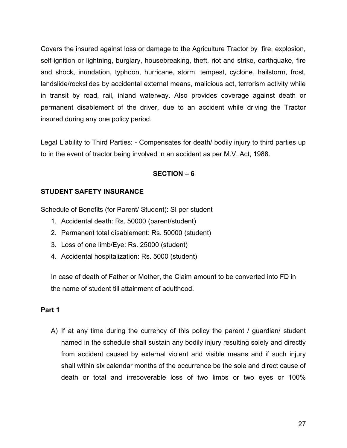Covers the insured against loss or damage to the Agriculture Tractor by fire, explosion, self-ignition or lightning, burglary, housebreaking, theft, riot and strike, earthquake, fire and shock, inundation, typhoon, hurricane, storm, tempest, cyclone, hailstorm, frost, landslide/rockslides by accidental external means, malicious act, terrorism activity while in transit by road, rail, inland waterway. Also provides coverage against death or permanent disablement of the driver, due to an accident while driving the Tractor insured during any one policy period.

Legal Liability to Third Parties: - Compensates for death/ bodily injury to third parties up to in the event of tractor being involved in an accident as per M.V. Act, 1988.

# SECTION – 6

## STUDENT SAFETY INSURANCE

Schedule of Benefits (for Parent/ Student): SI per student

- 1. Accidental death: Rs. 50000 (parent/student)
- 2. Permanent total disablement: Rs. 50000 (student)
- 3. Loss of one limb/Eye: Rs. 25000 (student)
- 4. Accidental hospitalization: Rs. 5000 (student)

In case of death of Father or Mother, the Claim amount to be converted into FD in the name of student till attainment of adulthood.

#### Part 1

A) If at any time during the currency of this policy the parent / guardian/ student named in the schedule shall sustain any bodily injury resulting solely and directly from accident caused by external violent and visible means and if such injury shall within six calendar months of the occurrence be the sole and direct cause of death or total and irrecoverable loss of two limbs or two eyes or 100%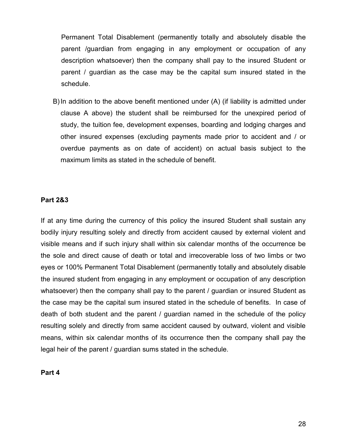Permanent Total Disablement (permanently totally and absolutely disable the parent /guardian from engaging in any employment or occupation of any description whatsoever) then the company shall pay to the insured Student or parent / guardian as the case may be the capital sum insured stated in the schedule.

B) In addition to the above benefit mentioned under (A) (if liability is admitted under clause A above) the student shall be reimbursed for the unexpired period of study, the tuition fee, development expenses, boarding and lodging charges and other insured expenses (excluding payments made prior to accident and / or overdue payments as on date of accident) on actual basis subject to the maximum limits as stated in the schedule of benefit.

#### Part 2&3

If at any time during the currency of this policy the insured Student shall sustain any bodily injury resulting solely and directly from accident caused by external violent and visible means and if such injury shall within six calendar months of the occurrence be the sole and direct cause of death or total and irrecoverable loss of two limbs or two eyes or 100% Permanent Total Disablement (permanently totally and absolutely disable the insured student from engaging in any employment or occupation of any description whatsoever) then the company shall pay to the parent / guardian or insured Student as the case may be the capital sum insured stated in the schedule of benefits. In case of death of both student and the parent / guardian named in the schedule of the policy resulting solely and directly from same accident caused by outward, violent and visible means, within six calendar months of its occurrence then the company shall pay the legal heir of the parent / guardian sums stated in the schedule.

Part 4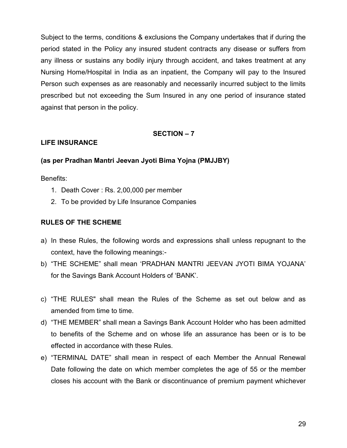Subject to the terms, conditions & exclusions the Company undertakes that if during the period stated in the Policy any insured student contracts any disease or suffers from any illness or sustains any bodily injury through accident, and takes treatment at any Nursing Home/Hospital in India as an inpatient, the Company will pay to the Insured Person such expenses as are reasonably and necessarily incurred subject to the limits prescribed but not exceeding the Sum Insured in any one period of insurance stated against that person in the policy.

#### SECTION – 7

## LIFE INSURANCE

## (as per Pradhan Mantri Jeevan Jyoti Bima Yojna (PMJJBY)

Benefits:

- 1. Death Cover : Rs. 2,00,000 per member
- 2. To be provided by Life Insurance Companies

#### RULES OF THE SCHEME

- a) In these Rules, the following words and expressions shall unless repugnant to the context, have the following meanings:-
- b) "THE SCHEME" shall mean 'PRADHAN MANTRI JEEVAN JYOTI BIMA YOJANA' for the Savings Bank Account Holders of 'BANK'.
- c) "THE RULES" shall mean the Rules of the Scheme as set out below and as amended from time to time.
- d) "THE MEMBER" shall mean a Savings Bank Account Holder who has been admitted to benefits of the Scheme and on whose life an assurance has been or is to be effected in accordance with these Rules.
- e) "TERMINAL DATE" shall mean in respect of each Member the Annual Renewal Date following the date on which member completes the age of 55 or the member closes his account with the Bank or discontinuance of premium payment whichever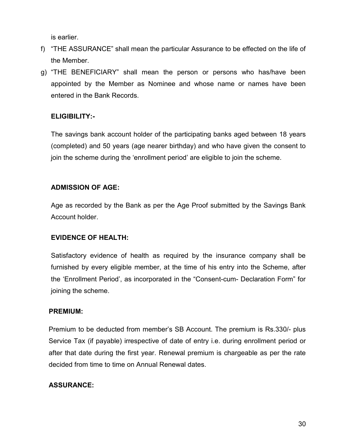is earlier.

- f) "THE ASSURANCE" shall mean the particular Assurance to be effected on the life of the Member.
- g) "THE BENEFICIARY" shall mean the person or persons who has/have been appointed by the Member as Nominee and whose name or names have been entered in the Bank Records.

# ELIGIBILITY:-

The savings bank account holder of the participating banks aged between 18 years (completed) and 50 years (age nearer birthday) and who have given the consent to join the scheme during the 'enrollment period' are eligible to join the scheme.

# ADMISSION OF AGE:

Age as recorded by the Bank as per the Age Proof submitted by the Savings Bank Account holder.

# EVIDENCE OF HEALTH:

Satisfactory evidence of health as required by the insurance company shall be furnished by every eligible member, at the time of his entry into the Scheme, after the 'Enrollment Period', as incorporated in the "Consent-cum- Declaration Form" for joining the scheme.

# PREMIUM:

Premium to be deducted from member's SB Account. The premium is Rs.330/- plus Service Tax (if payable) irrespective of date of entry i.e. during enrollment period or after that date during the first year. Renewal premium is chargeable as per the rate decided from time to time on Annual Renewal dates.

# ASSURANCE: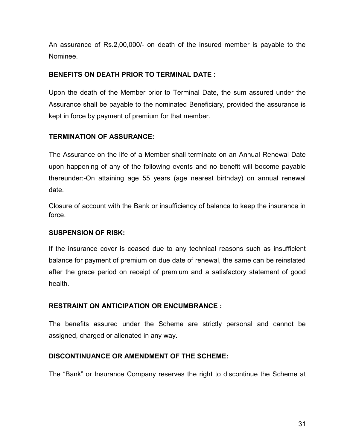An assurance of Rs.2,00,000/- on death of the insured member is payable to the Nominee.

## BENEFITS ON DEATH PRIOR TO TERMINAL DATE :

Upon the death of the Member prior to Terminal Date, the sum assured under the Assurance shall be payable to the nominated Beneficiary, provided the assurance is kept in force by payment of premium for that member.

# TERMINATION OF ASSURANCE:

The Assurance on the life of a Member shall terminate on an Annual Renewal Date upon happening of any of the following events and no benefit will become payable thereunder:-On attaining age 55 years (age nearest birthday) on annual renewal date.

Closure of account with the Bank or insufficiency of balance to keep the insurance in force.

# SUSPENSION OF RISK:

If the insurance cover is ceased due to any technical reasons such as insufficient balance for payment of premium on due date of renewal, the same can be reinstated after the grace period on receipt of premium and a satisfactory statement of good health.

# RESTRAINT ON ANTICIPATION OR ENCUMBRANCE :

The benefits assured under the Scheme are strictly personal and cannot be assigned, charged or alienated in any way.

#### DISCONTINUANCE OR AMENDMENT OF THE SCHEME:

The "Bank" or Insurance Company reserves the right to discontinue the Scheme at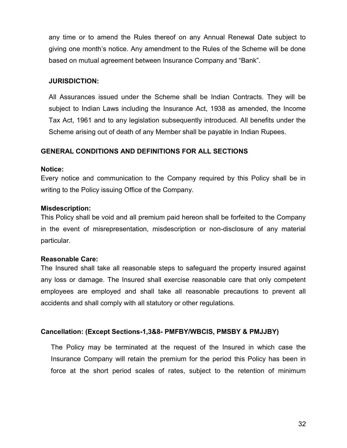any time or to amend the Rules thereof on any Annual Renewal Date subject to giving one month's notice. Any amendment to the Rules of the Scheme will be done based on mutual agreement between Insurance Company and "Bank".

#### JURISDICTION:

All Assurances issued under the Scheme shall be Indian Contracts. They will be subject to Indian Laws including the Insurance Act, 1938 as amended, the Income Tax Act, 1961 and to any legislation subsequently introduced. All benefits under the Scheme arising out of death of any Member shall be payable in Indian Rupees.

# GENERAL CONDITIONS AND DEFINITIONS FOR ALL SECTIONS

#### Notice:

Every notice and communication to the Company required by this Policy shall be in writing to the Policy issuing Office of the Company.

# Misdescription:

This Policy shall be void and all premium paid hereon shall be forfeited to the Company in the event of misrepresentation, misdescription or non-disclosure of any material particular.

#### Reasonable Care:

The Insured shall take all reasonable steps to safeguard the property insured against any loss or damage. The Insured shall exercise reasonable care that only competent employees are employed and shall take all reasonable precautions to prevent all accidents and shall comply with all statutory or other regulations.

# Cancellation: (Except Sections-1,3&8- PMFBY/WBCIS, PMSBY & PMJJBY)

The Policy may be terminated at the request of the Insured in which case the Insurance Company will retain the premium for the period this Policy has been in force at the short period scales of rates, subject to the retention of minimum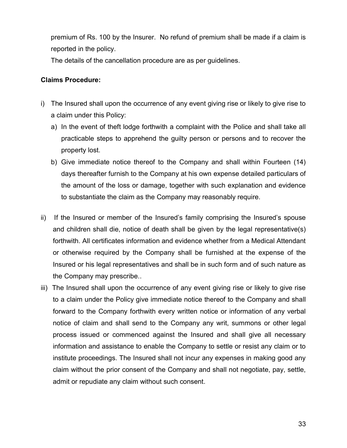premium of Rs. 100 by the Insurer. No refund of premium shall be made if a claim is reported in the policy.

The details of the cancellation procedure are as per guidelines.

## Claims Procedure:

- i) The Insured shall upon the occurrence of any event giving rise or likely to give rise to a claim under this Policy:
	- a) In the event of theft lodge forthwith a complaint with the Police and shall take all practicable steps to apprehend the guilty person or persons and to recover the property lost.
	- b) Give immediate notice thereof to the Company and shall within Fourteen (14) days thereafter furnish to the Company at his own expense detailed particulars of the amount of the loss or damage, together with such explanation and evidence to substantiate the claim as the Company may reasonably require.
- ii) If the Insured or member of the Insured's family comprising the Insured's spouse and children shall die, notice of death shall be given by the legal representative(s) forthwith. All certificates information and evidence whether from a Medical Attendant or otherwise required by the Company shall be furnished at the expense of the Insured or his legal representatives and shall be in such form and of such nature as the Company may prescribe..
- iii) The Insured shall upon the occurrence of any event giving rise or likely to give rise to a claim under the Policy give immediate notice thereof to the Company and shall forward to the Company forthwith every written notice or information of any verbal notice of claim and shall send to the Company any writ, summons or other legal process issued or commenced against the Insured and shall give all necessary information and assistance to enable the Company to settle or resist any claim or to institute proceedings. The Insured shall not incur any expenses in making good any claim without the prior consent of the Company and shall not negotiate, pay, settle, admit or repudiate any claim without such consent.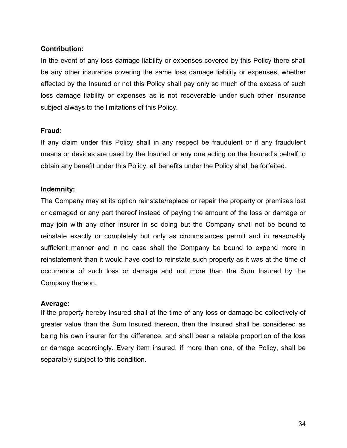## Contribution:

In the event of any loss damage liability or expenses covered by this Policy there shall be any other insurance covering the same loss damage liability or expenses, whether effected by the Insured or not this Policy shall pay only so much of the excess of such loss damage liability or expenses as is not recoverable under such other insurance subject always to the limitations of this Policy.

#### Fraud:

If any claim under this Policy shall in any respect be fraudulent or if any fraudulent means or devices are used by the Insured or any one acting on the Insured's behalf to obtain any benefit under this Policy, all benefits under the Policy shall be forfeited.

#### Indemnity:

The Company may at its option reinstate/replace or repair the property or premises lost or damaged or any part thereof instead of paying the amount of the loss or damage or may join with any other insurer in so doing but the Company shall not be bound to reinstate exactly or completely but only as circumstances permit and in reasonably sufficient manner and in no case shall the Company be bound to expend more in reinstatement than it would have cost to reinstate such property as it was at the time of occurrence of such loss or damage and not more than the Sum Insured by the Company thereon.

#### Average:

If the property hereby insured shall at the time of any loss or damage be collectively of greater value than the Sum Insured thereon, then the Insured shall be considered as being his own insurer for the difference, and shall bear a ratable proportion of the loss or damage accordingly. Every item insured, if more than one, of the Policy, shall be separately subject to this condition.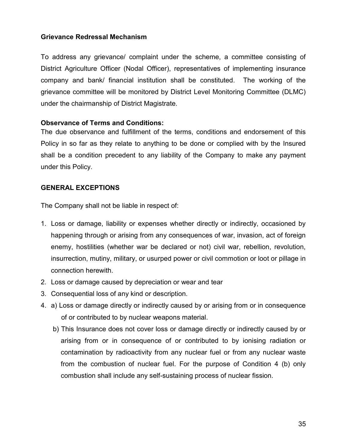## Grievance Redressal Mechanism

To address any grievance/ complaint under the scheme, a committee consisting of District Agriculture Officer (Nodal Officer), representatives of implementing insurance company and bank/ financial institution shall be constituted. The working of the grievance committee will be monitored by District Level Monitoring Committee (DLMC) under the chairmanship of District Magistrate.

#### Observance of Terms and Conditions:

The due observance and fulfillment of the terms, conditions and endorsement of this Policy in so far as they relate to anything to be done or complied with by the Insured shall be a condition precedent to any liability of the Company to make any payment under this Policy.

## GENERAL EXCEPTIONS

The Company shall not be liable in respect of:

- 1. Loss or damage, liability or expenses whether directly or indirectly, occasioned by happening through or arising from any consequences of war, invasion, act of foreign enemy, hostilities (whether war be declared or not) civil war, rebellion, revolution, insurrection, mutiny, military, or usurped power or civil commotion or loot or pillage in connection herewith.
- 2. Loss or damage caused by depreciation or wear and tear
- 3. Consequential loss of any kind or description.
- 4. a) Loss or damage directly or indirectly caused by or arising from or in consequence of or contributed to by nuclear weapons material.
	- b) This Insurance does not cover loss or damage directly or indirectly caused by or arising from or in consequence of or contributed to by ionising radiation or contamination by radioactivity from any nuclear fuel or from any nuclear waste from the combustion of nuclear fuel. For the purpose of Condition 4 (b) only combustion shall include any self-sustaining process of nuclear fission.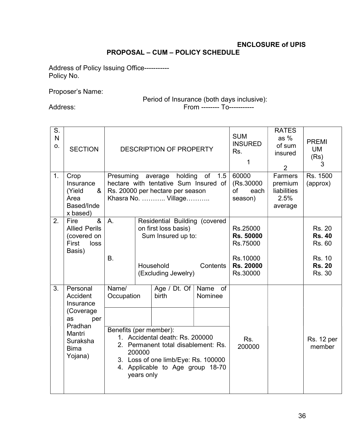# ENCLOSURE of UPIS PROPOSAL – CUM – POLICY SCHEDULE

Address of Policy Issuing Office----------- Policy No.

Proposer's Name:

# Period of Insurance (both days inclusive):

Address: From -------- To-----------

| S.<br>N<br>О. | <b>SECTION</b>                                                                                                          |                                               |                      | <b>DESCRIPTION OF PROPERTY</b>                                                                                                                                             | <b>SUM</b><br><b>INSURED</b><br>Rs.<br>1 | <b>RATES</b><br>as $%$<br>of sum<br>insured<br>2                       | <b>PREMI</b><br><b>UM</b><br>(Rs)<br>3               |                                                                                      |
|---------------|-------------------------------------------------------------------------------------------------------------------------|-----------------------------------------------|----------------------|----------------------------------------------------------------------------------------------------------------------------------------------------------------------------|------------------------------------------|------------------------------------------------------------------------|------------------------------------------------------|--------------------------------------------------------------------------------------|
| 1.            | Crop<br>Insurance<br>(Yield<br>&<br>Area<br>Based/Inde<br>x based)                                                      | Presuming                                     |                      | holding<br>average<br>hectare with tentative Sum Insured of<br>Rs. 20000 per hectare per season<br>Khasra No.  Village                                                     | of 1.5                                   | 60000<br>(Rs.30000<br>of<br>each<br>season)                            | Farmers<br>premium<br>liabilities<br>2.5%<br>average | Rs. 1500<br>(approx)                                                                 |
| 2.            | $\overline{8}$<br>Fire<br><b>Allied Perils</b><br>(covered on<br>First<br>loss<br>Basis)                                | A.<br>B.                                      |                      | Residential Building (covered<br>on first loss basis)<br>Sum Insured up to:<br>Household<br>(Excluding Jewelry)                                                            | Contents                                 | Rs.25000<br>Rs. 50000<br>Rs.75000<br>Rs.10000<br>Rs. 20000<br>Rs.30000 |                                                      | <b>Rs. 20</b><br><b>Rs. 40</b><br>Rs. 60<br><b>Rs. 10</b><br><b>Rs. 20</b><br>Rs. 30 |
| 3.            | Personal<br>Accident<br>Insurance<br>(Coverage)<br>as<br>per<br>Pradhan<br>Mantri<br>Suraksha<br><b>Bima</b><br>Yojana) | Name/<br>Occupation<br>Benefits (per member): | 200000<br>years only | Age / Dt. Of<br>birth<br>1. Accidental death: Rs. 200000<br>2. Permanent total disablement: Rs.<br>3. Loss of one limb/Eye: Rs. 100000<br>4. Applicable to Age group 18-70 | Name of<br>Nominee                       | Rs.<br>200000                                                          |                                                      | <b>Rs. 12 per</b><br>member                                                          |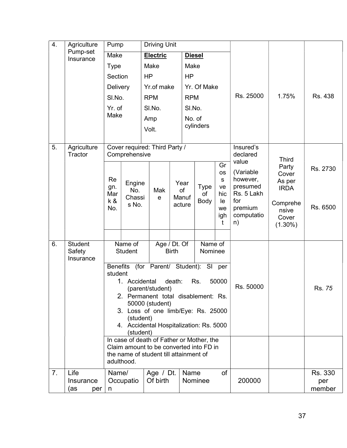| 4. | Agriculture              | Pump            |                                                |                                                                                      | <b>Driving Unit</b> |              |               |                               |                 |                       |                |               |
|----|--------------------------|-----------------|------------------------------------------------|--------------------------------------------------------------------------------------|---------------------|--------------|---------------|-------------------------------|-----------------|-----------------------|----------------|---------------|
|    | Pump-set<br>Insurance    | Make            |                                                |                                                                                      | Electric            |              | <b>Diesel</b> |                               |                 |                       |                |               |
|    |                          | <b>Type</b>     |                                                | Make                                                                                 |                     |              | Make          |                               |                 |                       |                |               |
|    |                          | Section         |                                                | <b>HP</b>                                                                            |                     |              | <b>HP</b>     |                               |                 |                       |                |               |
|    |                          | Delivery        |                                                |                                                                                      | Yr.of make          |              |               | Yr. Of Make                   |                 |                       |                |               |
|    |                          | SI.No.          |                                                | <b>RPM</b>                                                                           |                     |              | <b>RPM</b>    |                               | Rs. 25000       | 1.75%                 | Rs. 438        |               |
|    |                          | Yr. of          |                                                | SI.No.                                                                               |                     |              | SI.No.        |                               |                 |                       |                |               |
|    |                          | Make            |                                                | Amp                                                                                  |                     |              | No. of        |                               |                 |                       |                |               |
|    |                          |                 |                                                | Volt.                                                                                |                     |              |               | cylinders                     |                 |                       |                |               |
|    |                          |                 |                                                |                                                                                      |                     |              |               |                               |                 |                       |                |               |
| 5. | Agriculture<br>Tractor   |                 | Cover required: Third Party /<br>Comprehensive |                                                                                      |                     |              |               |                               |                 | Insured's<br>declared |                |               |
|    |                          |                 |                                                |                                                                                      |                     |              |               |                               | Gr              | value                 | <b>Third</b>   |               |
|    |                          |                 |                                                |                                                                                      |                     |              |               |                               | <b>OS</b>       | (Variable             | Party<br>Cover | Rs. 2730      |
|    |                          | Re              | Engine                                         |                                                                                      |                     |              | Year          | <b>Type</b>                   | ${\sf s}$<br>ve | however,<br>presumed  | As per         |               |
|    |                          | gn.<br>Mar      | No.<br>Chassi                                  |                                                                                      | Mak<br>e            | of<br>Manuf  |               | οf                            | hic             | Rs. 5 Lakh            | <b>IRDA</b>    |               |
|    |                          | k &<br>No.      | s No.                                          |                                                                                      |                     |              | acture        | Body                          | le<br>we        | for<br>premium        | Comprehe       | Rs. 6500      |
|    |                          |                 |                                                |                                                                                      |                     |              |               |                               | igh             | computatio            | nsive<br>Cover |               |
|    |                          |                 |                                                |                                                                                      |                     |              |               |                               | t               | n)                    | $(1.30\%)$     |               |
|    |                          |                 |                                                |                                                                                      |                     |              |               |                               |                 |                       |                |               |
| 6. | <b>Student</b><br>Safety |                 | Name of<br><b>Student</b>                      |                                                                                      | Age / Dt. Of        | <b>Birth</b> |               | Name of<br>Nominee            |                 |                       |                |               |
|    | Insurance                |                 |                                                |                                                                                      |                     |              |               |                               |                 |                       |                |               |
|    |                          | <b>Benefits</b> |                                                |                                                                                      |                     |              |               | (for Parent/ Student): SI per |                 |                       |                |               |
|    |                          | student         | 1. Accidental                                  |                                                                                      |                     | death:       |               | Rs.                           | 50000           |                       |                |               |
|    |                          |                 |                                                |                                                                                      | (parent/student)    |              |               |                               |                 | Rs. 50000             |                | Rs. 75        |
|    |                          |                 | 2. Permanent total disablement: Rs.            |                                                                                      | 50000 (student)     |              |               |                               |                 |                       |                |               |
|    |                          |                 | 3. Loss of one limb/Eye: Rs. 25000             |                                                                                      |                     |              |               |                               |                 |                       |                |               |
|    |                          |                 | (student)                                      |                                                                                      |                     |              |               |                               |                 |                       |                |               |
|    |                          |                 | (student)                                      | 4. Accidental Hospitalization: Rs. 5000<br>In case of death of Father or Mother, the |                     |              |               |                               |                 |                       |                |               |
|    |                          |                 |                                                |                                                                                      |                     |              |               |                               |                 |                       |                |               |
|    |                          |                 |                                                | Claim amount to be converted into FD in<br>the name of student till attainment of    |                     |              |               |                               |                 |                       |                |               |
|    |                          |                 | adulthood.                                     |                                                                                      |                     |              |               |                               |                 |                       |                |               |
| 7. | Life                     | Name/           |                                                |                                                                                      | Age $/$ Dt.         |              | Name          |                               | of              |                       |                | Rs. 330       |
|    | Insurance<br>(as<br>per  | n               | Occupatio                                      |                                                                                      | Of birth            |              |               | Nominee                       |                 | 200000                |                | per<br>member |
|    |                          |                 |                                                |                                                                                      |                     |              |               |                               |                 |                       |                |               |